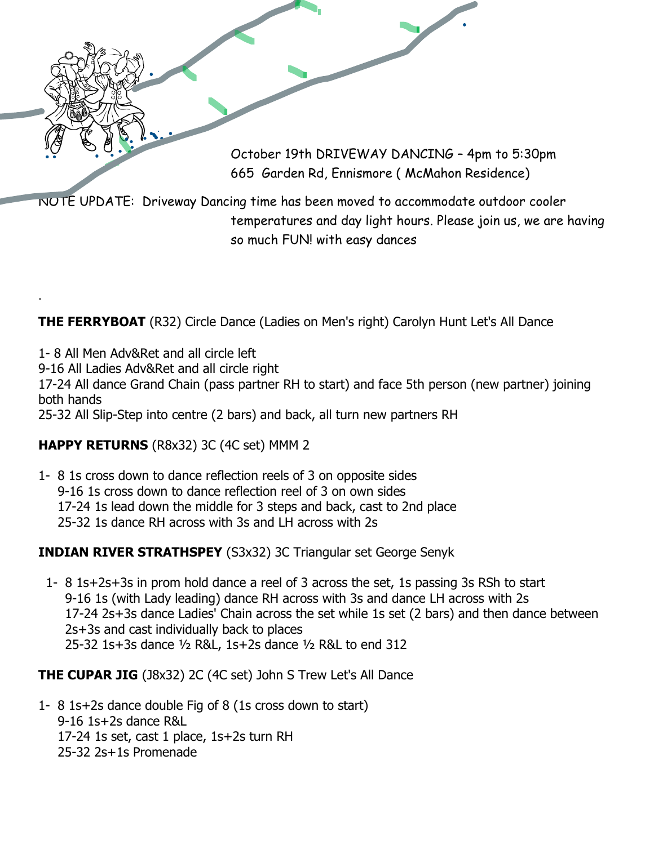

**THE FERRYBOAT** (R32) Circle Dance (Ladies on Men's right) Carolyn Hunt Let's All Dance

1- 8 All Men Adv&Ret and all circle left 9-16 All Ladies Adv&Ret and all circle right

.

17-24 All dance Grand Chain (pass partner RH to start) and face 5th person (new partner) joining both hands

25-32 All Slip-Step into centre (2 bars) and back, all turn new partners RH

# **HAPPY RETURNS** (R8x32) 3C (4C set) MMM 2

1- 8 1s cross down to dance reflection reels of 3 on opposite sides 9-16 1s cross down to dance reflection reel of 3 on own sides 17-24 1s lead down the middle for 3 steps and back, cast to 2nd place 25-32 1s dance RH across with 3s and LH across with 2s

# **INDIAN RIVER STRATHSPEY** (S3x32) 3C Triangular set George Senyk

1- 8 1s+2s+3s in prom hold dance a reel of 3 across the set, 1s passing 3s RSh to start 9-16 1s (with Lady leading) dance RH across with 3s and dance LH across with 2s 17-24 2s+3s dance Ladies' Chain across the set while 1s set (2 bars) and then dance between 2s+3s and cast individually back to places 25-32 1s+3s dance ½ R&L, 1s+2s dance ½ R&L to end 312

### **THE CUPAR JIG** (J8x32) 2C (4C set) John S Trew Let's All Dance

1- 8 1s+2s dance double Fig of 8 (1s cross down to start) 9-16 1s+2s dance R&L 17-24 1s set, cast 1 place, 1s+2s turn RH 25-32 2s+1s Promenade